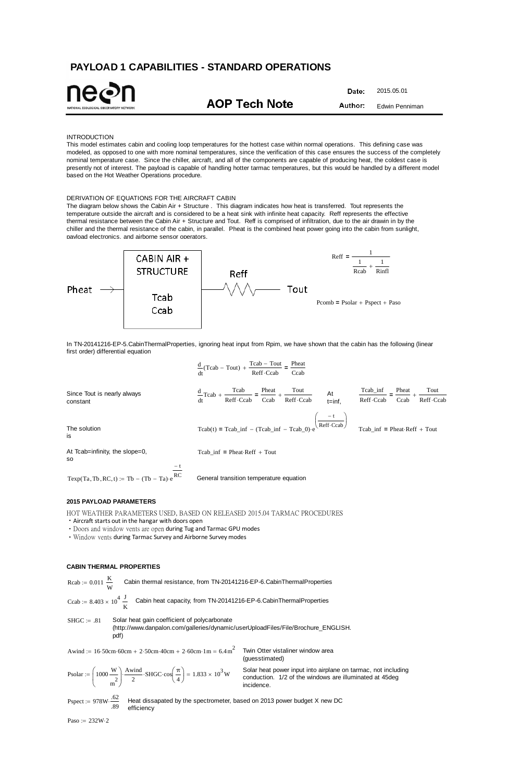# **PAYLOAD 1 CAPABILITIES - STANDARD OPERATIONS**

Date: 2015.05.01 **AOP Tech Note** Author: Edwin Penniman

### INTRODUCTION

This model estimates cabin and cooling loop temperatures for the hottest case within normal operations. This defining case was modeled, as opposed to one with more nominal temperatures, since the verification of this case ensures the success of the completely nominal temperature case. Since the chiller, aircraft, and all of the components are capable of producing heat, the coldest case is presently not of interest. The payload is capable of handling hotter tarmac temperatures, but this would be handled by a different model based on the Hot Weather Operations procedure.

### DERIVATION OF EQUATIONS FOR THE AIRCRAFT CABIN

The diagram below shows the Cabin Air + Structure . This diagram indicates how heat is transferred. Tout represents the temperature outside the aircraft and is considered to be a heat sink with infinite heat capacity. Reff represents the effective thermal resistance between the Cabin Air + Structure and Tout. Reff is comprised of infiltration, due to the air drawin in by the chiller and the thermal resistance of the cabin, in parallel. Pheat is the combined heat power going into the cabin from sunlight, payload electronics, and airborne sensor operators.

Rcab :=  $0.011 \frac{\text{K}}{\text{m}}$ W Cabin thermal resistance, from TN-20141216-EP-6.CabinThermalProperties



 $SHGC = .81$  Solar heat gain coefficient of polycarbonate (http://www.danpalon.com/galleries/dynamic/userUploadFiles/File/Brochure\_ENGLISH. pdf)

In TN-20141216-EP-5.CabinThermalProperties, ignoring heat input from Rpim, we have shown that the cabin has the following (linear first order) differential equation

Pspect :=  $978W \cdot \frac{62}{100}$ .89 Heat dissapated by the spectrometer, based on 2013 power budget X new DC efficiency

Paso :=  $232W·2$ 

|                                         |     | $\frac{d}{dt}(Tcab - Tout) + \frac{Tcab - Tout}{Reff \cdot Ccab} = \frac{Pheat}{Ccab}$                                  |                                                             |
|-----------------------------------------|-----|-------------------------------------------------------------------------------------------------------------------------|-------------------------------------------------------------|
| Since Tout is nearly always<br>constant |     | $\frac{d}{dt}Tcab + \frac{Tcab}{Reff\cdot Ccab} = \frac{Pheat}{Ccab} + \frac{Tout}{Reff\cdot Ccab}$<br>At<br>$t = inf,$ | Tcab_inf<br>Pheat<br>Tout<br>Reff Ccab<br>Reff Ccab<br>Ccab |
| The solution<br>is                      |     | $Tcab(t) = Tcab_inf - (Tcab_inf - Tcab_0) \cdot e^{\sqrt{\text{Reff} \cdot \text{Ccab}}}$                               | $Tcab_inf = Pheat \cdot Reff + Tout$                        |
| At Tcab=infinity, the slope=0,<br>SO.   | – t | Tcab inf = Pheat Reff + Tout                                                                                            |                                                             |

Texp $(Ta, Tb, RC, t) := Tb - (Tb - Ta) \cdot e^{RC}$ 

General transition temperature equation

## **2015 PAYLOAD PARAMETERS**

HOT WEATHER PARAMETERS USED, BASED ON RELEASED 2015.04 TARMAC PROCEDURES

• Aircraft starts out in the hangar with doors open

・Doors and window vents are open during Tug and Tarmac GPU modes

・Window vents during Tarmac Survey and Airborne Survey modes

Ccab := 
$$
8.403 \times 10^4 \frac{J}{K}
$$
 Cabin heat capacity, from TN-20141216-EP-6.CabinThermalProperties

$$
Awind := 16.50cm \cdot 60cm + 2.50cm \cdot 40cm + 2.60cm \cdot 1m = 6.4m^2
$$

 Twin Otter vistaliner window area (guesstimated)

Solar heat power input into airplane on tarmac, not including conduction. 1/2 of the windows are illuminated at 45deg incidence.

$$
\text{Psolar} := \left(1000 \frac{\text{W}}{\text{m}^2}\right) \frac{\text{Awind}}{2} \cdot \text{SHGC} \cdot \cos\left(\frac{\pi}{4}\right) = 1.833 \times 10^3 \text{W}
$$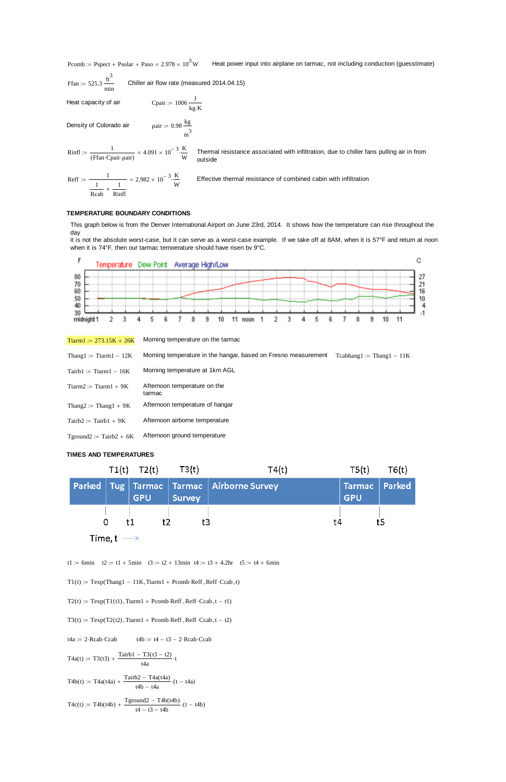Pcomb := Pspect + Psolar + Paso =  $2.978 \times 10^3$  W Heat power input into airplane on tarmac, not including conduction (guesstimate)

$$
Ffan := 525.3 \frac{ft^3}{min}
$$
 Children air flow rate (measured 2014.04.15)

 $:=$ 

 $\approx$  1006  $\frac{J}{kg \cdot K}$ 

 $m<sup>3</sup>$ 

Heat capacity of air

Density of Colorado air

$$
Rinfl := \frac{1}{(Ffan \cdot Capair \cdot pair)} = 4.091 \times 10^{-3} \cdot \frac{K}{W}
$$

 Thermal resistance associated with infiltration, due to chiller fans pulling air in from outside

$$
\text{Reff} := \frac{1}{\frac{1}{\text{Rcab}} + \frac{1}{\text{Rinfl}}} = 2.982 \times 10^{-3} \cdot \frac{\text{K}}{\text{W}}
$$

Effective thermal resistance of combined cabin with infiltration

**TEMPERATURE BOUNDARY CONDITIONS**

This graph below is from the Denver International Airport on June 23rd, 2014. It shows how the temperature can rise throughout the day

it is not the absolute worst-case, but it can serve as a worst-case example. If we take off at 8AM, when it is 57°F and return at noon when it is 74°F, then our tarmac temperature should have risen by 9°C.



| Ttarm1 := $273.15K + 26K$               | Morning temperature on the tarmac                              |                             |
|-----------------------------------------|----------------------------------------------------------------|-----------------------------|
| Thang1 := Ttarm1 $-12K$                 | Morning temperature in the hangar, based on Fresno measurement | $Tcabhang1 := Thang1 - 11K$ |
| $Tairb1 := Ttarm1 - 16K$                | Morning temperature at 1km AGL                                 |                             |
| $T \text{tarm2} := T \text{tarm1} + 9K$ | Afternoon temperature on the<br>tarmac                         |                             |
| Thang2 := Thang1 + $9K$                 | Afternoon temperature of hangar                                |                             |
| $Tairb2 := Tairb1 + 9K$                 | Afternoon airborne temperature                                 |                             |
| $T$ ground $2 :=$ Tairb $2 + 6K$        | Afternoon ground temperature                                   |                             |

# **TIMES AND TEMPERATURES**

|  |                           | $T1(t)$ $T2(t)$ $T3(t)$ |        | T4(t)                                            | $T5(t)$ $T6(t)$                |    |
|--|---------------------------|-------------------------|--------|--------------------------------------------------|--------------------------------|----|
|  |                           | <b>GPU</b>              | Survey | Parked   Tug   Tarmac   Tarmac   Airborne Survey | Tarmac   Parked'<br><b>GPU</b> |    |
|  | 0                         | $+2$<br>t1              | t3     | †4                                               |                                | t5 |
|  | Time, t $\longrightarrow$ |                         |        |                                                  |                                |    |

 $T1(t) := \text{Temp}(\text{Thang1} - 11K, \text{Tarm1} + \text{Pcomb} \cdot \text{Reff} \cdot \text{Ccab}, t)$ 

$$
T2(t) := \text{Texp}(T1(t1), \text{Ttarm1} + \text{Pcomb-Reff}, \text{Reff-Ccab}, t - t1)
$$

 $T3(t) := \text{Texp}(T2(t2), \text{Ttarm1} + \text{Pcomb-Reff}, \text{Reff-Ccab}, t - t2)$ 

t4a := 2
$$
\cdot
$$
Reab-Ccab  
T4a(t) := T3(t3) +  $\frac{\text{Tairb1} - \text{T3}(t3 - t2)}{t4a}$ 

$$
T4b(t) := T4a(t4a) + \frac{Tairb2 - T4a(t4a)}{t4b - t4a} \cdot (t - t4a)
$$

$$
T4c(t) := T4b(t4b) + \frac{Tground2 - T4b(t4b)}{t4 - t3 - t4b} \cdot (t - t4b)
$$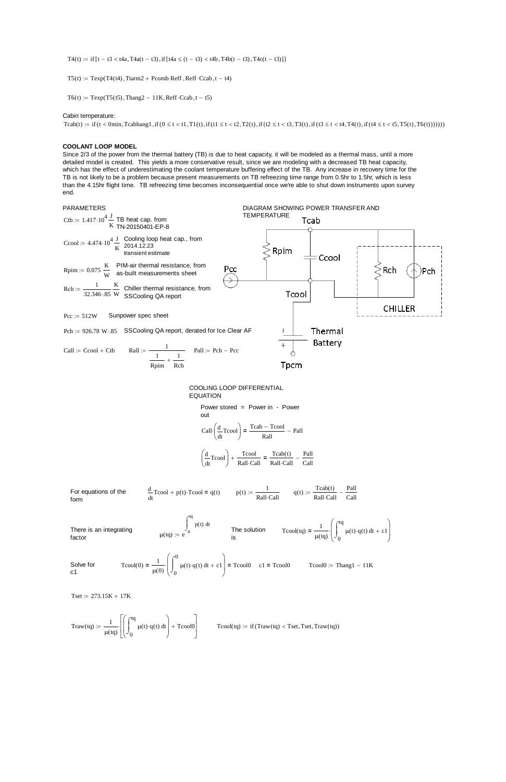T4(t) := if  $[t - t3 < t4a, T4a(t - t3), if[t4a \le (t - t3) < t4b, T4b(t - t3), T4c(t - t3)]]$ 

 $T5(t) := \text{Temp}(T4(t4), \text{Tarm2} + \text{Pcomb} \cdot \text{Reff}, \text{Reff} \cdot \text{Ccab}, t - t4)$ 

 $T6(t) := \text{Texp}(T5(t5), \text{Thang2} - 11K, \text{Reff} \cdot \text{Ccab}, t - t5)$ 

#### Cabin temperature:

Tcab(t) := if (t < 0min, Tcabhang1, if (0 \le t < t1, T1(t), if (t1 \le t < t2, T2(t), if (t2 \le t < t3, T3(t), if (t3 \le t < t4, T4(t), if (t4 \le t < t5, T5(t), T6(t)))))))

#### **COOLANT LOOP MODEL**

Since 2/3 of the power from the thermal battery (TB) is due to heat capacity, it will be modeled as a thermal mass, until a more detailed model is created. This yields a more conservative result, since we are modeling with a decreased TB heat capacity, which has the effect of underestimating the coolant temperature buffering effect of the TB. Any increase in recovery time for the TB is not likely to be a problem because present measurements on TB refreezing time range from 0.5hr to 1.5hr, which is less than the 4.15hr flight time. TB refreezing time becomes inconsequential once we're able to shut down instruments upon survey end.

Solve for c1  $T\text{cool}(0) = \frac{1}{\sqrt{2}}$  $\mu$ (0)  $\bigcup_0$ 0  $\mu(t) \cdot q(t) dt$  $\int$  $\int_{\Omega} \mu(t) \cdot q(t) dt + c1$  $\int$  $\setminus$  $\Bigg)$  $\bigg)$  $=$   $\frac{1}{\sqrt{1-\frac{1}{\pi}}}$   $\left| \begin{array}{cc} \mu(t) \cdot q(t) \, dt + c1 \end{array} \right|$  = Tcool0 c1 = Tcool0 Tcool0 := Thang1 - 11K

 $Tset := 273.15K + 17K$ 



Call: 
$$
\left(\frac{d}{dt}T\text{cool}\right) = \frac{T\text{cab} - T\text{cool}}{R\text{all}} - \text{Paul}
$$
  
 $\left(\frac{d}{dt}T\text{cool}\right) + \frac{T\text{cool}}{T\text{coset}} = \frac{T\text{cab}(t)}{T\text{coset}} - \frac{P\text{all}}{T\text{coset}} - \frac{P\text{all}}{T\text{coset}} = \frac{P\text{all}}{T\text{coset}} - \frac{P\text{all}}{T\text{coset}} = \frac{P\text{all}}{T\text{coset}} - \frac{P\text{all}}{T\text{coset}} = \frac{P\text{all}}{T\text{coset}} - \frac{P\text{all}}{T\text{coset}} = \frac{P\text{all}}{T\text{coset}} = \frac{P\text{all}}{T\text{coset}} = \frac{P\text{all}}{T\text{coset}} = \frac{P\text{all}}{T\text{coset}} = \frac{P\text{all}}{T\text{coset}} = \frac{P\text{all}}{T\text{coset}} = \frac{P\text{all}}{T\text{coset}} = \frac{P\text{all}}{T\text{coset}} = \frac{P\text{all}}{T\text{coset}} = \frac{P\text{all}}{T\text{coset}} = \frac{P\text{all}}{T\text{coset}} = \frac{P\text{all}}{T\text{coset}} = \frac{P\text{all}}{T\text{coset}} = \frac{P\text{all}}{T\text{coset}} = \frac{P\text{all}}{T\text{coset}} = \frac{P\text{all}}{T\text{coset}} = \frac{P\text{all}}{T\text{coset}} = \frac{P\text{all}}{T\text{coset}} = \frac{P\text{all}}{T\text{coset}} = \frac{P\text{all}}{T\text{coset}} = \frac{P\text{all}}{T\text{coset}} = \frac{P\text{all}}{T\text{coset}} = \frac{P\text{all}}{T\text{coset}} = \frac{P\text{all}}{T\text{coset}} = \frac{P\text{all}}{T\text{coset}} = \frac{P\text{all}}{T\text{coset}} = \frac{P\text{all}}{T\text{coset}} = \frac{P\text{all}}{T\text{coset}} = \frac{P\text{all$ 

$$
\left(\frac{d}{dt}T\cos\theta\right) + \frac{1}{\text{Rall}\cdot\text{Call}} = \frac{1}{\text{Rall}\cdot\text{Call}} - \frac{1}{\text{Call}}
$$

For equations of the  
\nform  
\n
$$
\frac{d}{dt} \text{Teool} + p(t) \cdot \text{Teool} = q(t) \qquad p(t) := \frac{1}{\text{Rall} \cdot \text{Call}} \qquad q(t) := \frac{\text{Teab}(t)}{\text{Rall} \cdot \text{Call}} - \frac{\text{Pall}}{\text{Call}}
$$
\n
$$
\text{There is an integrating}
$$
\n
$$
\mu(tq) := e^{\int_0^{tq} p(t) dt} \qquad \text{The solution}
$$
\n
$$
\text{Teool}(tq) = \frac{1}{\mu(tq)} \cdot \left( \int_0^{tq} \mu(t) \cdot q(t) dt \right)
$$

$$
Traw(tq) := \frac{1}{\mu(tq)} \left[ \left( \int_0^{tq} \mu(t) \cdot q(t) dt \right) + T \text{cool0} \right]
$$

 $ol(tq) := if (Traw(tq) < Tset, Test, Traw(tq))$ 

 $+ c1$ 

 $\setminus$  $\vert$  $\overline{\phantom{a}}$ J